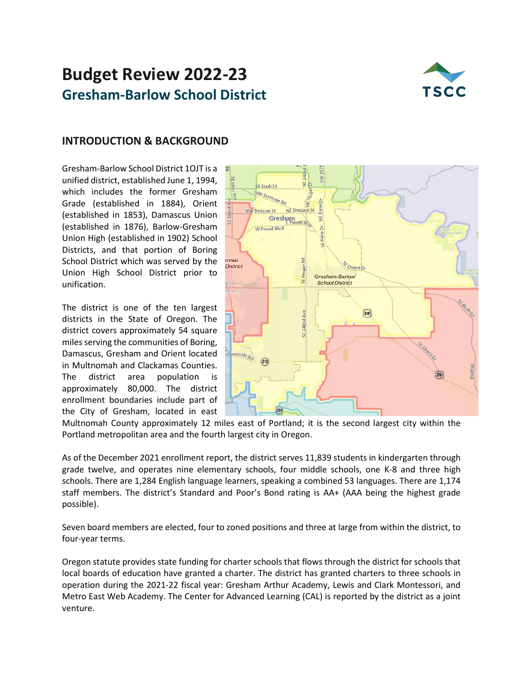# **Budget Review 2022-23 Gresham-Barlow School District**



### **INTRODUCTION & BACKGROUND**

Gresham-Barlow School District 1OJT is a unified district, established June 1, 1994, which includes the former Gresham Grade (established in 1884), Orient (established in 1853), Damascus Union (established in 1876), Barlow-Gresham Union High (established in 1902) School Districts, and that portion of Boring School District which was served by the Union High School District prior to unification.

The district is one of the ten largest districts in the State of Oregon. The district covers approximately 54 square miles serving the communities of Boring, Damascus, Gresham and Orient located in Multnomah and Clackamas Counties. The district area population is approximately 80,000. The district enrollment boundaries include part of the City of Gresham, located in east



Multnomah County approximately 12 miles east of Portland; it is the second largest city within the Portland metropolitan area and the fourth largest city in Oregon.

As of the December 2021 enrollment report, the district serves 11,839 students in kindergarten through grade twelve, and operates nine elementary schools, four middle schools, one K-8 and three high schools. There are 1,284 English language learners, speaking a combined 53 languages. There are 1,174 staff members. The district's Standard and Poor's Bond rating is AA+ (AAA being the highest grade possible).

Seven board members are elected, four to zoned positions and three at large from within the district, to four-year terms.

Oregon statute provides state funding for charter schools that flows through the district for schools that local boards of education have granted a charter. The district has granted charters to three schools in operation during the 2021-22 fiscal year: Gresham Arthur Academy, Lewis and Clark Montessori, and Metro East Web Academy. The Center for Advanced Learning (CAL) is reported by the district as a joint venture.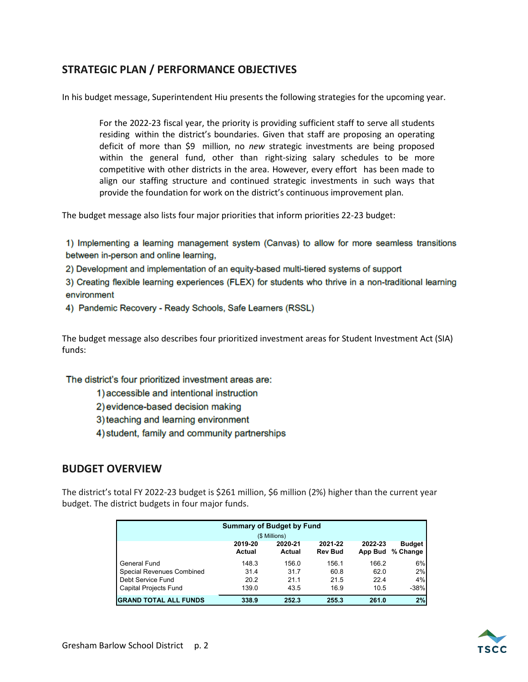### **STRATEGIC PLAN / PERFORMANCE OBJECTIVES**

In his budget message, Superintendent Hiu presents the following strategies for the upcoming year.

For the 2022-23 fiscal year, the priority is providing sufficient staff to serve all students residing within the district's boundaries. Given that staff are proposing an operating deficit of more than \$9 million, no *new* strategic investments are being proposed within the general fund, other than right-sizing salary schedules to be more competitive with other districts in the area. However, every effort has been made to align our staffing structure and continued strategic investments in such ways that provide the foundation for work on the district's continuous improvement plan.

The budget message also lists four major priorities that inform priorities 22-23 budget:

1) Implementing a learning management system (Canvas) to allow for more seamless transitions between in-person and online learning,

2) Development and implementation of an equity-based multi-tiered systems of support

3) Creating flexible learning experiences (FLEX) for students who thrive in a non-traditional learning environment

4) Pandemic Recovery - Ready Schools, Safe Learners (RSSL)

The budget message also describes four prioritized investment areas for Student Investment Act (SIA) funds:

The district's four prioritized investment areas are:

- 1) accessible and intentional instruction
- 2) evidence-based decision making
- 3) teaching and learning environment
- 4) student, family and community partnerships

### **BUDGET OVERVIEW**

The district's total FY 2022-23 budget is \$261 million, \$6 million (2%) higher than the current year budget. The district budgets in four major funds.

| <b>Summary of Budget by Fund</b> |                          |                   |                           |                    |                           |
|----------------------------------|--------------------------|-------------------|---------------------------|--------------------|---------------------------|
|                                  |                          | (\$ Millions)     |                           |                    |                           |
|                                  | 2019-20<br><b>Actual</b> | 2020-21<br>Actual | 2021-22<br><b>Rev Bud</b> | 2022-23<br>App Bud | <b>Budget</b><br>% Change |
| General Fund                     | 148.3                    | 156.0             | 156.1                     | 166.2              | 6%                        |
| <b>Special Revenues Combined</b> | 31.4                     | 31.7              | 60.8                      | 62.0               | 2%                        |
| Debt Service Fund                | 20.2                     | 21.1              | 21.5                      | 22.4               | 4%                        |
| Capital Projects Fund            | 139.0                    | 43.5              | 16.9                      | 10.5               | $-38%$                    |
| <b>IGRAND TOTAL ALL FUNDS</b>    | 338.9                    | 252.3             | 255.3                     | 261.0              | 2%                        |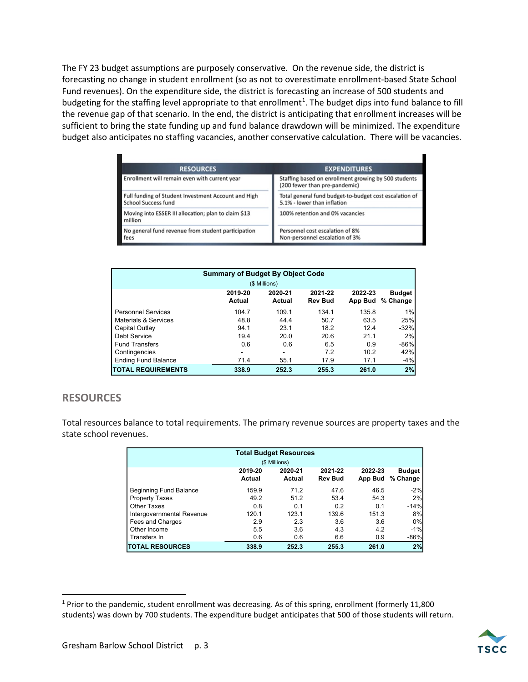The FY 23 budget assumptions are purposely conservative. On the revenue side, the district is forecasting no change in student enrollment (so as not to overestimate enrollment-based State School Fund revenues). On the expenditure side, the district is forecasting an increase of 500 students and budgeting for the staffing level appropriate to that enrollment<sup>[1](#page-2-0)</sup>. The budget dips into fund balance to fill the revenue gap of that scenario. In the end, the district is anticipating that enrollment increases will be sufficient to bring the state funding up and fund balance drawdown will be minimized. The expenditure budget also anticipates no staffing vacancies, another conservative calculation. There will be vacancies.

| <b>RESOURCES</b>                                                                  | <b>EXPENDITURES</b>                                                                   |
|-----------------------------------------------------------------------------------|---------------------------------------------------------------------------------------|
| Enrollment will remain even with current year                                     | Staffing based on enrollment growing by 500 students<br>(200 fewer than pre-pandemic) |
| Full funding of Student Investment Account and High<br><b>School Success fund</b> | Total general fund budget-to-budget cost escalation of<br>5.1% - lower than inflation |
| Moving into ESSER III allocation; plan to claim \$13<br>million                   | 100% retention and 0% vacancies                                                       |
| No general fund revenue from student participation<br>fees                        | Personnel cost escalation of 8%<br>Non-personnel escalation of 3%                     |

| <b>Summary of Budget By Object Code</b> |                   |                   |                           |                    |                           |  |
|-----------------------------------------|-------------------|-------------------|---------------------------|--------------------|---------------------------|--|
|                                         |                   | (\$ Millions)     |                           |                    |                           |  |
|                                         | 2019-20<br>Actual | 2020-21<br>Actual | 2021-22<br><b>Rev Bud</b> | 2022-23<br>App Bud | <b>Budget</b><br>% Change |  |
| <b>Personnel Services</b>               | 104.7             | 109.1             | 134.1                     | 135.8              | 1%                        |  |
| Materials & Services                    | 48.8              | 44.4              | 50.7                      | 63.5               | 25%                       |  |
| Capital Outlay                          | 94.1              | 23.1              | 18.2                      | 12.4               | $-32%$                    |  |
| Debt Service                            | 19.4              | 20.0              | 20.6                      | 21.1               | 2%                        |  |
| <b>Fund Transfers</b>                   | 0.6               | 0.6               | 6.5                       | 0.9                | $-86%$                    |  |
| Contingencies                           | ۰                 | ۰                 | 7.2                       | 10.2               | 42%                       |  |
| <b>Ending Fund Balance</b>              | 71.4              | 55.1              | 17.9                      | 17.1               | $-4%$                     |  |
| <b>TOTAL REQUIREMENTS</b>               | 338.9             | 252.3             | 255.3                     | 261.0              | 2%                        |  |

### **RESOURCES**

Total resources balance to total requirements. The primary revenue sources are property taxes and the state school revenues.

| <b>Total Budget Resources</b> |         |               |                |         |               |  |
|-------------------------------|---------|---------------|----------------|---------|---------------|--|
|                               |         | (\$ Millions) |                |         |               |  |
|                               | 2019-20 | 2020-21       | 2021-22        | 2022-23 | <b>Budget</b> |  |
|                               | Actual  | Actual        | <b>Rev Bud</b> | App Bud | % Change      |  |
| <b>Beginning Fund Balance</b> | 159.9   | 71.2          | 47.6           | 46.5    | $-2%$         |  |
| <b>Property Taxes</b>         | 49.2    | 51.2          | 53.4           | 54.3    | 2%            |  |
| Other Taxes                   | 0.8     | 0.1           | 0.2            | 0.1     | $-14%$        |  |
| Intergovernmental Revenue     | 120.1   | 123.1         | 139.6          | 151.3   | 8%            |  |
| Fees and Charges              | 2.9     | 2.3           | 3.6            | 3.6     | 0%            |  |
| Other Income                  | 5.5     | 3.6           | 4.3            | 4.2     | $-1%$         |  |
| Transfers In                  | 0.6     | 0.6           | 6.6            | 0.9     | $-86%$        |  |
| <b>TOTAL RESOURCES</b>        | 338.9   | 252.3         | 255.3          | 261.0   | 2%            |  |

<span id="page-2-0"></span><sup>&</sup>lt;sup>1</sup> Prior to the pandemic, student enrollment was decreasing. As of this spring, enrollment (formerly 11,800 students) was down by 700 students. The expenditure budget anticipates that 500 of those students will return.

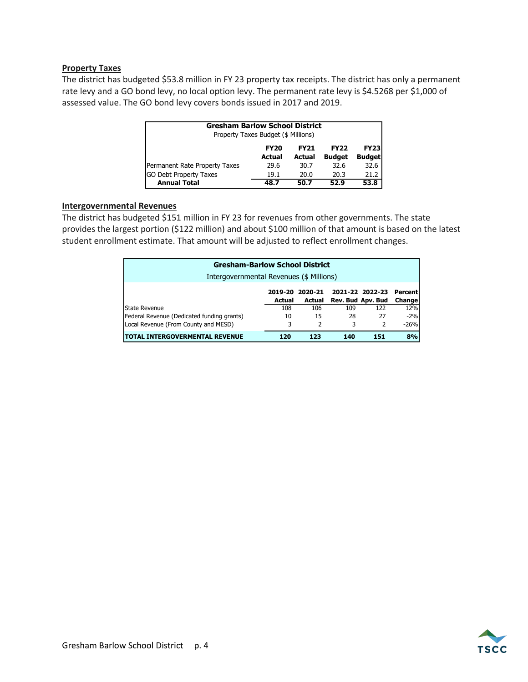#### **Property Taxes**

The district has budgeted \$53.8 million in FY 23 property tax receipts. The district has only a permanent rate levy and a GO bond levy, no local option levy. The permanent rate levy is \$4.5268 per \$1,000 of assessed value. The GO bond levy covers bonds issued in 2017 and 2019.

| <b>Gresham Barlow School District</b>               |             |             |               |               |  |  |  |
|-----------------------------------------------------|-------------|-------------|---------------|---------------|--|--|--|
| Property Taxes Budget (\$ Millions)                 |             |             |               |               |  |  |  |
|                                                     | <b>FY20</b> | <b>FY21</b> | <b>FY22</b>   | <b>FY23</b>   |  |  |  |
|                                                     | Actual      | Actual      | <b>Budget</b> | <b>Budget</b> |  |  |  |
| Permanent Rate Property Taxes                       | 29.6        | 30.7        | 32.6          | 32.6          |  |  |  |
| <b>GO Debt Property Taxes</b>                       | 19.1        | 20.0        | 20.3          | 21.2          |  |  |  |
| <b>Annual Total</b><br>53.8<br>52.9<br>48.7<br>50.7 |             |             |               |               |  |  |  |

#### **Intergovernmental Revenues**

The district has budgeted \$151 million in FY 23 for revenues from other governments. The state provides the largest portion (\$122 million) and about \$100 million of that amount is based on the latest student enrollment estimate. That amount will be adjusted to reflect enrollment changes.

| <b>Gresham-Barlow School District</b>      |        |                 |     |                   |         |  |
|--------------------------------------------|--------|-----------------|-----|-------------------|---------|--|
| Intergovernmental Revenues (\$ Millions)   |        |                 |     |                   |         |  |
|                                            |        | 2019-20 2020-21 |     | 2021-22 2022-23   | Percent |  |
|                                            | Actual | Actual          |     | Rev. Bud Apv. Bud | Change  |  |
| State Revenue                              | 108    | 106             | 109 | 122               | 12%     |  |
| Federal Revenue (Dedicated funding grants) | 10     | 15              | 28  | 27                | $-2%$   |  |
| Local Revenue (From County and MESD)       | 3      | $\mathcal{P}$   | 3   | $\mathcal{P}$     | $-26%$  |  |
| <b>ITOTAL INTERGOVERMENTAL REVENUE</b>     | 120    | 123             | 140 | 151               | 8%      |  |

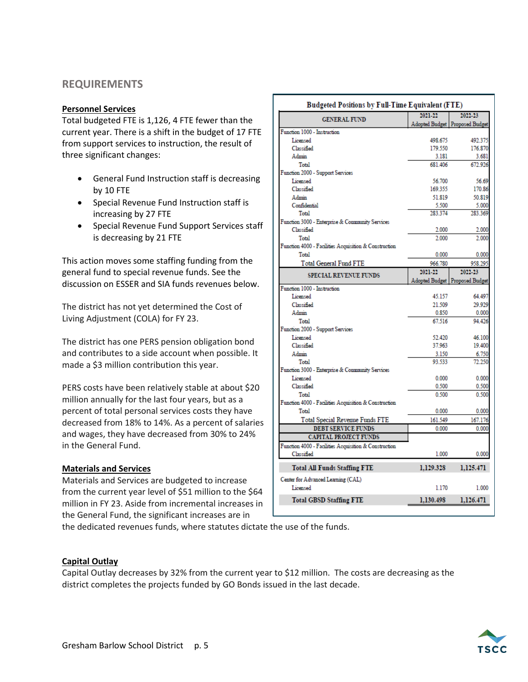### **REQUIREMENTS**

#### **Personnel Services**

Total budgeted FTE is 1,126, 4 FTE fewer than the current year. There is a shift in the budget of 17 FTE from support services to instruction, the result of three significant changes:

- General Fund Instruction staff is decreasing by 10 FTE
- Special Revenue Fund Instruction staff is increasing by 27 FTE
- Special Revenue Fund Support Services staff is decreasing by 21 FTE

This action moves some staffing funding from the general fund to special revenue funds. See the discussion on ESSER and SIA funds revenues below.

The district has not yet determined the Cost of Living Adjustment (COLA) for FY 23.

The district has one PERS pension obligation bond and contributes to a side account when possible. It made a \$3 million contribution this year.

PERS costs have been relatively stable at about \$20 million annually for the last four years, but as a percent of total personal services costs they have decreased from 18% to 14%. As a percent of salaries and wages, they have decreased from 30% to 24% in the General Fund.

#### **Materials and Services**

Materials and Services are budgeted to increase from the current year level of \$51 million to the \$64 million in FY 23. Aside from incremental increases in the General Fund, the significant increases are in

|                                                       | Budgeted Positions by Full-Time Equivalent (FTE) |                        |
|-------------------------------------------------------|--------------------------------------------------|------------------------|
| <b>GENERAL FUND</b>                                   | 2021-22                                          | 2022-23                |
|                                                       | Adopted Budget                                   | <b>Proposed Budget</b> |
| Function 1000 - Instruction                           |                                                  |                        |
| Licensed                                              | 498.675                                          | 492.375                |
| Classified                                            | 179.550                                          | 176.870                |
| Admin                                                 | 3.181                                            | 3.681                  |
| Total                                                 | 681.406                                          | 672.926                |
| Function 2000 - Support Services                      |                                                  |                        |
| Licensed                                              | 56.700                                           | 56.69                  |
| Classified                                            | 169.355                                          | 170.86                 |
| Admin                                                 | 51.819                                           | 50.819                 |
| Confidential                                          | 5.500                                            | 5.000                  |
| Total                                                 | 283.374                                          | 283.369                |
| Function 3000 - Enterprise & Community Services       |                                                  |                        |
| Classified                                            | 2.000                                            | 2.000                  |
| Total                                                 | 2.000                                            | 2.000                  |
| Function 4000 - Facilities Acquisition & Construction |                                                  |                        |
| Total                                                 | 0.000                                            | 0.000                  |
| <b>Total General Fund FTE</b>                         | 966.780                                          | 958.295                |
| <b>SPECIAL REVENUE FUNDS</b>                          | 2021-22                                          | 2022-23                |
|                                                       | Adopted Budget                                   | <b>Proposed Budget</b> |
| Function 1000 - Instruction                           |                                                  |                        |
| Licensed                                              | 45.157                                           | 64.497                 |
| Classified                                            | 21.509                                           | 29.929                 |
| Admin                                                 | 0.850                                            | 0.000                  |
| Total                                                 | 67.516                                           | 94.426                 |
| Function 2000 - Support Services                      |                                                  |                        |
| Licensed                                              | 52.420                                           | 46.100                 |
| Classified                                            | 37.963                                           | 19.400                 |
| Admin                                                 | 3.150                                            |                        |
|                                                       |                                                  | 6.750                  |
| Total                                                 | 93.533                                           | 72.250                 |
| Function 3000 - Enterprise & Community Services       |                                                  |                        |
| Licensed                                              | 0.000                                            | 0.000                  |
| Classified                                            | 0.500                                            | 0.500                  |
| Total                                                 | 0.500                                            | 0.500                  |
| Function 4000 - Facilities Acquisition & Construction |                                                  |                        |
| Total                                                 | 0.000                                            | 0.000                  |
| Total Special Revenue Funds FTE                       | 161.549                                          | 167.176                |
| <b>DEBT SERVICE FUNDS</b>                             | 0.000                                            | 0.000                  |
| <b>CAPITAL PROJECT FUNDS</b>                          |                                                  |                        |
| Function 4000 - Facilities Acquisition & Construction |                                                  |                        |
| Classified                                            | 1.000                                            | 0.000                  |
| <b>Total All Funds Staffing FTE</b>                   | 1,129.328                                        | 1,125.471              |
|                                                       |                                                  |                        |
| Center for Advanced Learning (CAL)                    |                                                  |                        |
| Licensed<br><b>Total GBSD Staffing FTE</b>            | 1.170<br>1,130.498                               | 1.000<br>1,126.471     |

the dedicated revenues funds, where statutes dictate the use of the funds.

#### **Capital Outlay**

Capital Outlay decreases by 32% from the current year to \$12 million. The costs are decreasing as the district completes the projects funded by GO Bonds issued in the last decade.

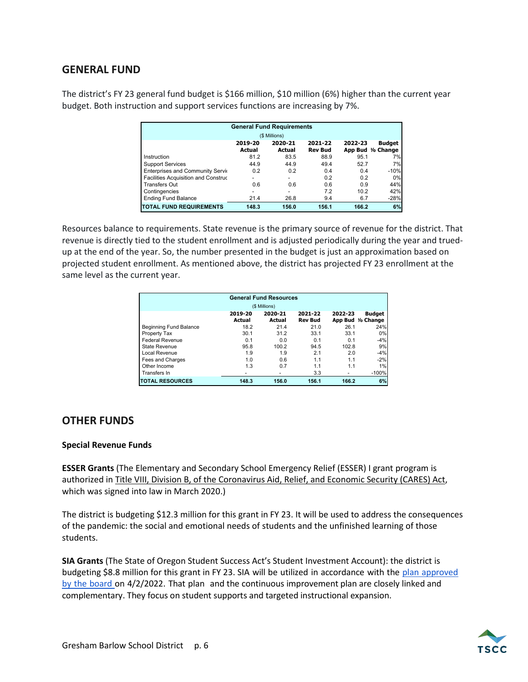### **GENERAL FUND**

The district's FY 23 general fund budget is \$166 million, \$10 million (6%) higher than the current year budget. Both instruction and support services functions are increasing by 7%.

| <b>General Fund Requirements</b><br>(\$ Millions) |                   |                          |                           |         |                                   |  |
|---------------------------------------------------|-------------------|--------------------------|---------------------------|---------|-----------------------------------|--|
|                                                   | 2019-20<br>Actual | 2020-21<br><b>Actual</b> | 2021-22<br><b>Rev Bud</b> | 2022-23 | <b>Budget</b><br>App Bud % Change |  |
| Instruction                                       | 81.2              | 83.5                     | 88.9                      | 95.1    | 7%                                |  |
| <b>Support Services</b>                           | 44.9              | 44.9                     | 49.4                      | 52.7    | 7%                                |  |
| Enterprises and Community Servic                  | 0.2               | 0.2                      | 0.4                       | 0.4     | $-10%$                            |  |
| Facilities Acquisition and Construc               | -                 | -                        | 0.2                       | 0.2     | 0%                                |  |
| <b>Transfers Out</b>                              | 0.6               | 0.6                      | 0.6                       | 0.9     | 44%                               |  |
| Contingencies                                     | ٠                 | $\overline{\phantom{a}}$ | 7.2                       | 10.2    | 42%                               |  |
| <b>Ending Fund Balance</b>                        | 21.4              | 26.8                     | 9.4                       | 6.7     | $-28%$                            |  |
| <b>TOTAL FUND REQUIREMENTS</b>                    | 148.3             | 156.0                    | 156.1                     | 166.2   | 6%                                |  |

Resources balance to requirements. State revenue is the primary source of revenue for the district. That revenue is directly tied to the student enrollment and is adjusted periodically during the year and truedup at the end of the year. So, the number presented in the budget is just an approximation based on projected student enrollment. As mentioned above, the district has projected FY 23 enrollment at the same level as the current year.

| <b>General Fund Resources</b> |                   |                   |                           |         |                                   |  |
|-------------------------------|-------------------|-------------------|---------------------------|---------|-----------------------------------|--|
|                               |                   | (\$ Millions)     |                           |         |                                   |  |
|                               | 2019-20<br>Actual | 2020-21<br>Actual | 2021-22<br><b>Rev Bud</b> | 2022-23 | <b>Budget</b><br>App Bud % Change |  |
| Beginning Fund Balance        | 18.2              | 21.4              | 21.0                      | 26.1    | 24%                               |  |
| Property Tax                  | 30.1              | 31.2              | 33.1                      | 33.1    | 0%                                |  |
| <b>Federal Revenue</b>        | 0.1               | 0.0               | 0.1                       | 0.1     | $-4%$                             |  |
| State Revenue                 | 95.8              | 100.2             | 94.5                      | 102.8   | 9%                                |  |
| Local Revenue                 | 1.9               | 1.9               | 2.1                       | 2.0     | $-4%$                             |  |
| Fees and Charges              | 1.0               | 0.6               | 1.1                       | 1.1     | $-2%$                             |  |
| Other Income                  | 1.3               | 0.7               | 1.1                       | 1.1     | 1%                                |  |
| Transfers In                  | ۰                 | ۰                 | 3.3                       |         | $-100%$                           |  |
| <b>ITOTAL RESOURCES</b>       | 148.3             | 156.0             | 156.1                     | 166.2   | 6%                                |  |

### **OTHER FUNDS**

#### **Special Revenue Funds**

**ESSER Grants** (The Elementary and Secondary School Emergency Relief (ESSER) I grant program is authorized in [Title VIII, Division B, of the Coronavirus Aid, Relief, and Economic Security \(CARES\) Act,](https://tea.texas.gov/sites/default/files/esser-statute-i.pdf) which was signed into law in March 2020.)

The district is budgeting \$12.3 million for this grant in FY 23. It will be used to address the consequences of the pandemic: the social and emotional needs of students and the unfinished learning of those students.

**SIA Grants** (The State of Oregon Student Success Act's Student Investment Account): the district is budgeting \$8.8 million for this grant in FY 23. SIA will be utilized in accordance with the plan approved by the board on 4/2/2022. That plan and the continuous improvement plan are closely linked and complementary. They focus on student supports and targeted instructional expansion.

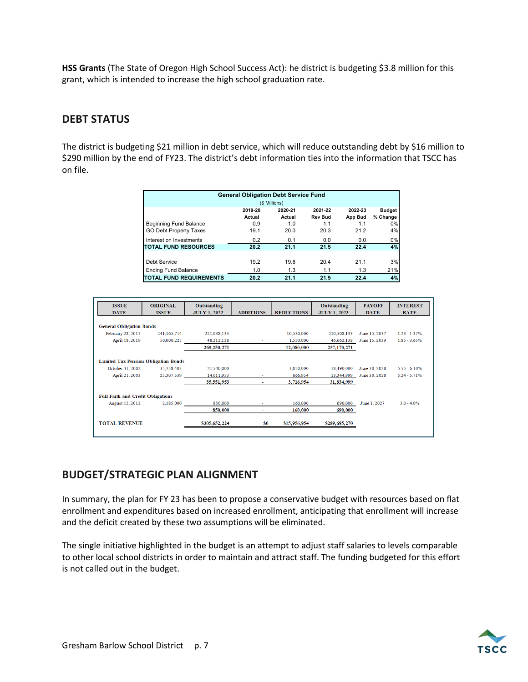**HSS Grants** (The State of Oregon High School Success Act): he district is budgeting \$3.8 million for this grant, which is intended to increase the high school graduation rate.

### **DEBT STATUS**

The district is budgeting \$21 million in debt service, which will reduce outstanding debt by \$16 million to \$290 million by the end of FY23. The district's debt information ties into the information that TSCC has on file.

| <b>General Obligation Debt Service Fund</b> |         |               |                |         |               |  |
|---------------------------------------------|---------|---------------|----------------|---------|---------------|--|
|                                             |         | (\$ Millions) |                |         |               |  |
|                                             | 2019-20 | 2020-21       | 2021-22        | 2022-23 | <b>Budget</b> |  |
|                                             | Actual  | Actual        | <b>Rev Bud</b> | App Bud | % Change      |  |
| <b>Beginning Fund Balance</b>               | 0.9     | 1.0           | 1.1            | 1.1     | 0%            |  |
| <b>GO Debt Property Taxes</b>               | 19.1    | 20.0          | 20.3           | 21.2    | 4%            |  |
| Interest on Investments                     | 0.2     | 0.1           | 0.0            | 0.0     | 0%            |  |
| <b>TOTAL FUND RESOURCES</b>                 | 20.2    | 21.1          | 21.5           | 22.4    | 4%            |  |
|                                             |         |               |                |         |               |  |
| Debt Service                                | 19.2    | 19.8          | 20.4           | 21.1    | 3%            |  |
| <b>Ending Fund Balance</b>                  | 1.0     | 1.3           | 1.1            | 1.3     | 21%           |  |
| <b>ITOTAL FUND REQUIREMENTS</b>             | 20.2    | 21.1          | 21.5           | 22.4    | 4%            |  |

| <b>ISSUE</b><br><b>DATE</b>                 | <b>ORIGINAL</b><br><b>ISSUE</b> | Outstanding<br><b>JULY 1, 2022</b> | <b>ADDITIONS</b> | <b>REDUCTIONS</b> | Outstanding<br><b>JULY 1, 2023</b> | <b>PAYOFF</b><br><b>DATE</b> | <b>INTEREST</b><br><b>RATE</b> |
|---------------------------------------------|---------------------------------|------------------------------------|------------------|-------------------|------------------------------------|------------------------------|--------------------------------|
|                                             |                                 |                                    |                  |                   |                                    |                              |                                |
| <b>General Obligation Bonds</b>             |                                 |                                    |                  |                   |                                    |                              |                                |
| February 28, 2017                           | 241,165,714                     | 221,038,133                        | ۰                | 10.530,000        | 210,508,133                        | June 15, 2037                | $1.23 - 1.37%$                 |
| April 18, 2019                              | 50,000,227                      | 48,212,138                         |                  | 1.550.000         | 46.662.138                         | June 15, 2039                | $1.85 - 3.65%$                 |
|                                             |                                 | 269,250,271                        | ٠                | 12,080,000        | 257,170,271                        |                              |                                |
| <b>Limited Tax Pension Obligation Bonds</b> |                                 |                                    |                  |                   |                                    |                              |                                |
| October 31, 2002                            | 35,758,403                      | 21,540,000                         | ٠                | 3,050,000         | 18,490,000                         | June 30, 2028                | $5.55 - 6.10%$                 |
| April 21, 2003                              | 25,307,539                      | 14.011.953                         |                  | 666.954           | 13.344.999                         | June 30, 2028                | $5.24 - 5.71%$                 |
|                                             |                                 | 35,551,953                         | $\sim$           | 3,716,954         | 31,834,999                         |                              |                                |
| <b>Full Faith and Credit Obligations</b>    |                                 |                                    |                  |                   |                                    |                              |                                |
| <b>August 12, 2012</b>                      | 2,185,000                       | 850,000                            |                  | 160,000           | 690,000                            | June 1, 2027                 | $3.0 - 4.0\%$                  |
|                                             |                                 | 850,000                            |                  | 160,000           | 690,000                            |                              |                                |
| <b>TOTAL REVENUE</b>                        |                                 | \$305,652,224                      | S0               | \$15,956,954      | \$289,695,270                      |                              |                                |

### **BUDGET/STRATEGIC PLAN ALIGNMENT**

In summary, the plan for FY 23 has been to propose a conservative budget with resources based on flat enrollment and expenditures based on increased enrollment, anticipating that enrollment will increase and the deficit created by these two assumptions will be eliminated.

The single initiative highlighted in the budget is an attempt to adjust staff salaries to levels comparable to other local school districts in order to maintain and attract staff. The funding budgeted for this effort is not called out in the budget.

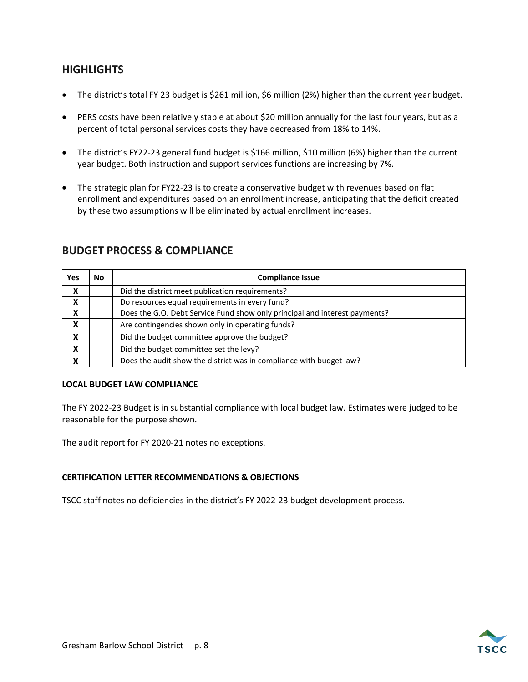### **HIGHLIGHTS**

- The district's total FY 23 budget is \$261 million, \$6 million (2%) higher than the current year budget.
- PERS costs have been relatively stable at about \$20 million annually for the last four years, but as a percent of total personal services costs they have decreased from 18% to 14%.
- The district's FY22-23 general fund budget is \$166 million, \$10 million (6%) higher than the current year budget. Both instruction and support services functions are increasing by 7%.
- The strategic plan for FY22-23 is to create a conservative budget with revenues based on flat enrollment and expenditures based on an enrollment increase, anticipating that the deficit created by these two assumptions will be eliminated by actual enrollment increases.

| <b>Yes</b> | <b>No</b> | <b>Compliance Issue</b>                                                    |
|------------|-----------|----------------------------------------------------------------------------|
| X          |           | Did the district meet publication requirements?                            |
| X          |           | Do resources equal requirements in every fund?                             |
| X          |           | Does the G.O. Debt Service Fund show only principal and interest payments? |
| X          |           | Are contingencies shown only in operating funds?                           |
| X          |           | Did the budget committee approve the budget?                               |
| X          |           | Did the budget committee set the levy?                                     |
| X          |           | Does the audit show the district was in compliance with budget law?        |

#### **BUDGET PROCESS & COMPLIANCE**

#### **LOCAL BUDGET LAW COMPLIANCE**

The FY 2022-23 Budget is in substantial compliance with local budget law. Estimates were judged to be reasonable for the purpose shown.

The audit report for FY 2020-21 notes no exceptions.

#### **CERTIFICATION LETTER RECOMMENDATIONS & OBJECTIONS**

TSCC staff notes no deficiencies in the district's FY 2022-23 budget development process.